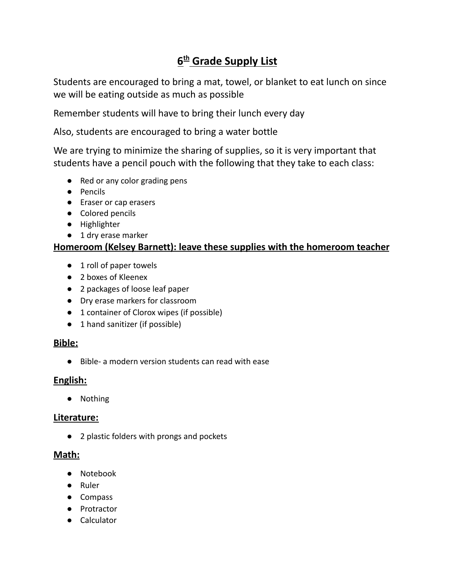# **6 th Grade Supply List**

Students are encouraged to bring a mat, towel, or blanket to eat lunch on since we will be eating outside as much as possible

Remember students will have to bring their lunch every day

Also, students are encouraged to bring a water bottle

We are trying to minimize the sharing of supplies, so it is very important that students have a pencil pouch with the following that they take to each class:

- Red or any color grading pens
- Pencils
- Eraser or cap erasers
- Colored pencils
- Highlighter
- 1 dry erase marker

## **Homeroom (Kelsey Barnett): leave these supplies with the homeroom teacher**

- 1 roll of paper towels
- 2 boxes of Kleenex
- 2 packages of loose leaf paper
- Dry erase markers for classroom
- 1 container of Clorox wipes (if possible)
- 1 hand sanitizer (if possible)

## **Bible:**

● Bible- a modern version students can read with ease

## **English:**

● Nothing

## **Literature:**

● 2 plastic folders with prongs and pockets

#### **Math:**

- Notebook
- Ruler
- Compass
- Protractor
- Calculator